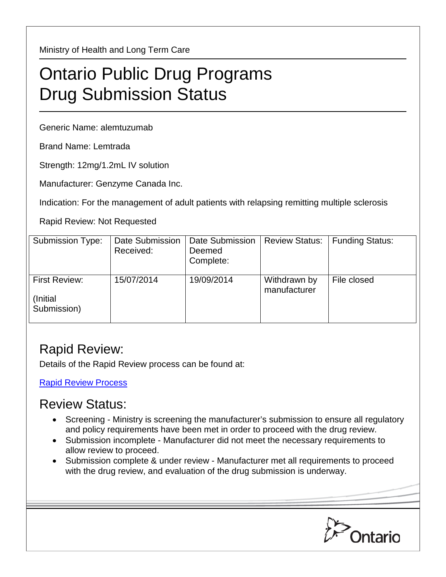Ministry of Health and Long Term Care

## Ontario Public Drug Programs Drug Submission Status

Generic Name: alemtuzumab

Brand Name: Lemtrada

Strength: 12mg/1.2mL IV solution

Manufacturer: Genzyme Canada Inc.

Indication: For the management of adult patients with relapsing remitting multiple sclerosis

Rapid Review: Not Requested

| Submission Type:                         | Date Submission<br>Received: | Date Submission<br>Deemed<br>Complete: | <b>Review Status:</b>        | <b>Funding Status:</b> |
|------------------------------------------|------------------------------|----------------------------------------|------------------------------|------------------------|
| First Review:<br>(Initial<br>Submission) | 15/07/2014                   | 19/09/2014                             | Withdrawn by<br>manufacturer | File closed            |

## Rapid Review:

Details of the Rapid Review process can be found at:

[Rapid Review Process](http://www.health.gov.on.ca/en/pro/programs/drugs/drug_submissions/rapid_review_process.aspx)

## Review Status:

- Screening Ministry is screening the manufacturer's submission to ensure all regulatory and policy requirements have been met in order to proceed with the drug review.
- Submission incomplete Manufacturer did not meet the necessary requirements to allow review to proceed.
- Submission complete & under review Manufacturer met all requirements to proceed with the drug review, and evaluation of the drug submission is underway.